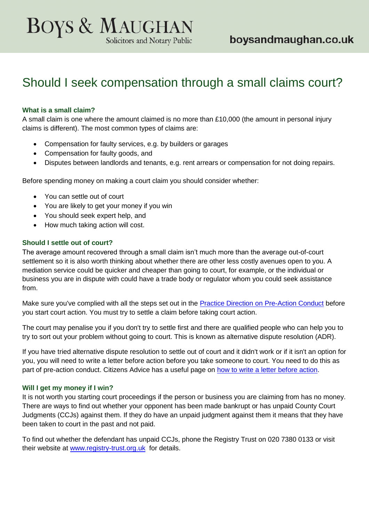# **BOYS & MAUGHAN** Solicitors and Notary Public

# Should I seek compensation through a small claims court?

## **What is a small claim?**

A small claim is one where the amount claimed is no more than £10,000 (the amount in personal injury claims is different). The most common types of claims are:

- Compensation for faulty services, e.g. by builders or garages
- Compensation for faulty goods, and
- Disputes between landlords and tenants, e.g. rent arrears or compensation for not doing repairs.

Before spending money on making a court claim you should consider whether:

- You can settle out of court
- You are likely to get your money if you win
- You should seek expert help, and
- How much taking action will cost.

## **Should I settle out of court?**

The average amount recovered through a small claim isn't much more than the average out-of-court settlement so it is also worth thinking about whether there are other less costly avenues open to you. A mediation service could be quicker and cheaper than going to court, for example, or the individual or business you are in dispute with could have a trade body or regulator whom you could seek assistance from.

Make sure you've complied with all the steps set out in the [Practice Direction on Pre-Action Conduct](http://www.justice.gov.uk/courts/procedure-rules/civil/rules/pd_pre-action_conduct) before you start court action. You must try to settle a claim before taking court action.

The court may penalise you if you don't try to settle first and there are qualified people who can help you to try to sort out your problem without going to court. This is known as alternative dispute resolution (ADR).

If you have tried alternative dispute resolution to settle out of court and it didn't work or if it isn't an option for you, you will need to write a letter before action before you take someone to court. You need to do this as part of pre-action conduct. Citizens Advice has a useful page on [how to write a letter before action.](https://www.citizensadvice.org.uk/law-and-courts/legal-system/taking-legal-action/small-claims/going-to-court/taking-court-action/step-one-write-a-letter-before-action/)

#### **Will I get my money if I win?**

It is not worth you starting court proceedings if the person or business you are claiming from has no money. There are ways to find out whether your opponent has been made bankrupt or has unpaid County Court Judgments (CCJs) against them. If they do have an unpaid judgment against them it means that they have been taken to court in the past and not paid.

To find out whether the defendant has unpaid CCJs, phone the Registry Trust on 020 7380 0133 or visit their website at [www.registry-trust.org.uk](http://www.registry-trust.org.uk/) for details.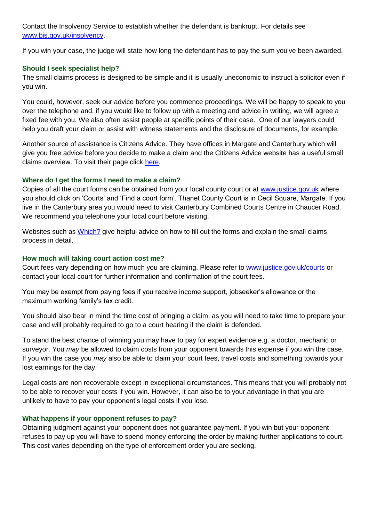Contact the Insolvency Service to establish whether the defendant is bankrupt. For details see [www.bis.gov.uk/insolvency.](http://www.bis.gov.uk/insolvency)

If you win your case, the judge will state how long the defendant has to pay the sum you've been awarded.

## **Should I seek specialist help?**

The small claims process is designed to be simple and it is usually uneconomic to instruct a solicitor even if you win.

You could, however, seek our advice before you commence proceedings. We will be happy to speak to you over the telephone and, if you would like to follow up with a meeting and advice in writing, we will agree a fixed fee with you. We also often assist people at specific points of their case. One of our lawyers could help you draft your claim or assist with witness statements and the disclosure of documents, for example.

Another source of assistance is Citizens Advice. They have offices in Margate and Canterbury which will give you free advice before you decide to make a claim and the Citizens Advice website has a useful small claims overview. To visit their page click [here.](https://www.citizensadvice.org.uk/law-and-courts/legal-system/taking-legal-action/small-claims/small-claims/)

## **Where do I get the forms I need to make a claim?**

Copies of all the court forms can be obtained from your local county court or at [www.justice.gov.uk](http://www.justice.gov.uk/) where you should click on 'Courts' and 'Find a court form'. Thanet County Court is in Cecil Square, Margate. If you live in the Canterbury area you would need to visit Canterbury Combined Courts Centre in Chaucer Road. We recommend you telephone your local court before visiting.

Websites such as [Which?](http://www.which.co.uk/consumer-rights/advice/how-to-use-the-small-claims-court) give helpful advice on how to fill out the forms and explain the small claims process in detail.

## **How much will taking court action cost me?**

Court fees vary depending on how much you are claiming. Please refer to [www.justice.gov.uk/courts](http://www.justice.gov.uk/courts) or contact your local court for further information and confirmation of the court fees.

You may be exempt from paying fees if you receive income support, jobseeker's allowance or the maximum working family's tax credit.

You should also bear in mind the time cost of bringing a claim, as you will need to take time to prepare your case and will probably required to go to a court hearing if the claim is defended.

To stand the best chance of winning you may have to pay for expert evidence e.g. a doctor, mechanic or surveyor. You *may* be allowed to claim costs from your opponent towards this expense if you win the case. If you win the case you *may* also be able to claim your court fees, travel costs and something towards your lost earnings for the day.

Legal costs are non recoverable except in exceptional circumstances. This means that you will probably not to be able to recover your costs if you win. However, it can also be to your advantage in that you are unlikely to have to pay your opponent's legal costs if you lose.

#### **What happens if your opponent refuses to pay?**

Obtaining judgment against your opponent does not guarantee payment. If you win but your opponent refuses to pay up you will have to spend money enforcing the order by making further applications to court. This cost varies depending on the type of enforcement order you are seeking.